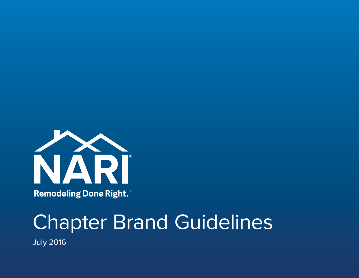

Remodeling Done Right.™

# Chapter Brand Guidelines

July 2016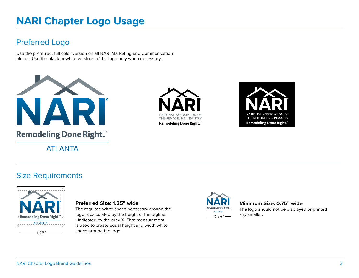# **NARI Chapter Logo Usage**

# Preferred Logo

Use the preferred, full color version on all NARI Marketing and Communication pieces. Use the black or white versions of the logo only when necessary.



**ATI ANTA** 





### Size Requirements



#### **Preferred Size: 1.25" wide**

The required white space necessary around the logo is calculated by the height of the tagline - indicated by the grey X. That measurement is used to create equal height and width white  $-1.25$ " $-$  space around the logo.



#### **Minimum Size: 0.75" wide**

The logo should not be displayed or printed any smaller.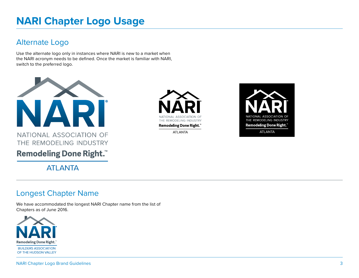# **NARI Chapter Logo Usage**

# Alternate Logo

Use the alternate logo only in instances where NARI is new to a market when the NARI acronym needs to be defined. Once the market is familiar with NARI, switch to the preferred logo.



NATIONAL ASSOCIATION OF THE REMODELING INDUSTRY

**Remodeling Done Right.™** 

**ATLANTA** 

### Longest Chapter Name

We have accommodated the longest NARI Chapter name from the list of Chapters as of June 2016.





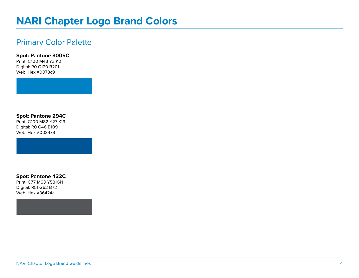# **NARI Chapter Logo Brand Colors**

### Primary Color Palette

**Spot: Pantone 3005C**

Print: C100 M43 Y3 K0 Digital: R0 G120 B201 Web: Hex #0078c9

**Spot: Pantone 294C**

Print: C100 M82 Y27 K19 Digital: R0 G46 B109 Web: Hex #003479

**Spot: Pantone 432C**

Print: C77 M63 Y53 K41 Digital: R51 G62 B72 Web: Hex #36424a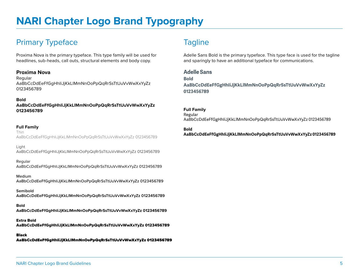# Primary Typeface Tagline

Proxima Nova is the primary typeface. This type family will be used for headlines, sub-heads, call outs, structural elements and body copy.

#### **Proxima Nova**

Regular AaBbCcDdEeFfGgHhIiJjKkLlMmNnOoPpQqRrSsTtUuVvWwXxYyZz 0123456789

#### **Bold**

**AaBbCcDdEeFfGgHhIiJjKkLlMmNnOoPpQqRrSsTtUuVvWwXxYyZz 0123456789**

#### **Full Family**

Thin AaBbCcDdEeFfGgHhIiJjKkLlMmNnOoPpQqRrSsTtUuVvWwXxYyZz 0123456789

Light AaBbCcDdEeFfGgHhIiJjKkLlMmNnOoPpQqRrSsTtUuVvWwXxYyZz 0123456789

#### Regular

AaBbCcDdEeFfGgHhIiJjKkLlMmNnOoPpQqRrSsTtUuVvWwXxYyZz 0123456789

Medium AaBbCcDdEeFfGgHhIiJjKkLlMmNnOoPpQqRrSsTtUuVvWwXxYyZz 0123456789

**Semibold AaBbCcDdEeFfGgHhIiJjKkLlMmNnOoPpQqRrSsTtUuVvWwXxYyZz 0123456789**

#### **Bold**

**AaBbCcDdEeFfGgHhIiJjKkLlMmNnOoPpQqRrSsTtUuVvWwXxYyZz 0123456789**

Extra Bold AaBbCcDdEeFfGgHhIiJjKkLlMmNnOoPpQqRrSsTtUuVvWwXxYyZz 0123456789

#### Black

AaBbCcDdEeFfGgHhIiJjKkLlMmNnOoPpQqRrSsTtUuVvWwXxYyZz 0123456789

Adelle Sans Bold is the primary typeface. This type face is used for the tagline and sparingly to have an additional typeface for communications.

#### **Adelle Sans**

**Bold AaBbCcDdEeFfGgHhIiJjKkLlMmNnOoPpQqRrSsTtUuVvWwXxYyZz 0123456789**

#### **Full Family**

Regular AaBbCcDdEeFfGgHhIiJjKkLlMmNnOoPpQqRrSsTtUuVvWwXxYyZz 0123456789

#### **Bold**

**AaBbCcDdEeFfGgHhIiJjKkLlMmNnOoPpQqRrSsTtUuVvWwXxYyZz 0123456789**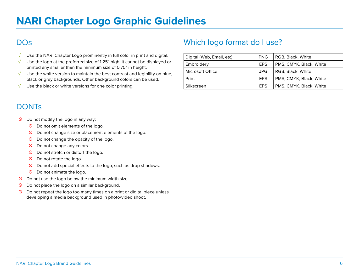# **DO<sub>S</sub>**

- $\sqrt{\phantom{a}}$  Use the NARI Chapter Logo prominently in full color in print and digital.
- $\sqrt{\phantom{a}}$  Use the logo at the preferred size of 1.25" high. It cannot be displayed or printed any smaller than the minimum size of 0.75" in height.
- $\sqrt{\phantom{a}}$  Use the white version to maintain the best contrast and legibility on blue, black or grey backgrounds. Other background colors can be used.
- $\sqrt{\phantom{a}}$  Use the black or white versions for one color printing.

# **DONTs**

- $\circledcirc$  Do not modify the logo in any way:
	- $\circledcirc$  Do not omit elements of the logo.
	- $\circled{S}$  Do not change size or placement elements of the logo.
	- $\circledcirc$  Do not change the opacity of the logo.
	- $\circledcirc$  Do not change any colors.
	- $\circledcirc$  Do not stretch or distort the logo.
	- $\circledcirc$  Do not rotate the logo.
	- $\circledcirc$  Do not add special effects to the logo, such as drop shadows.
	- $\circledcirc$  Do not animate the logo.
- $\circledcirc$  Do not use the logo below the minimum width size.
- $\circledcirc$  Do not place the logo on a similar background.
- $\circledcirc$  Do not repeat the logo too many times on a print or digital piece unless developing a media background used in photo/video shoot.

# Which logo format do I use?

| Digital (Web, Email, etc) | <b>PNG</b> | RGB, Black, White       |
|---------------------------|------------|-------------------------|
| Embroidery                | <b>EPS</b> | PMS, CMYK, Black, White |
| Microsoft Office          | JPG.       | RGB, Black, White       |
| Print                     | <b>EPS</b> | PMS, CMYK, Black, White |
| Silkscreen                | <b>EPS</b> | PMS, CMYK, Black, White |
|                           |            |                         |